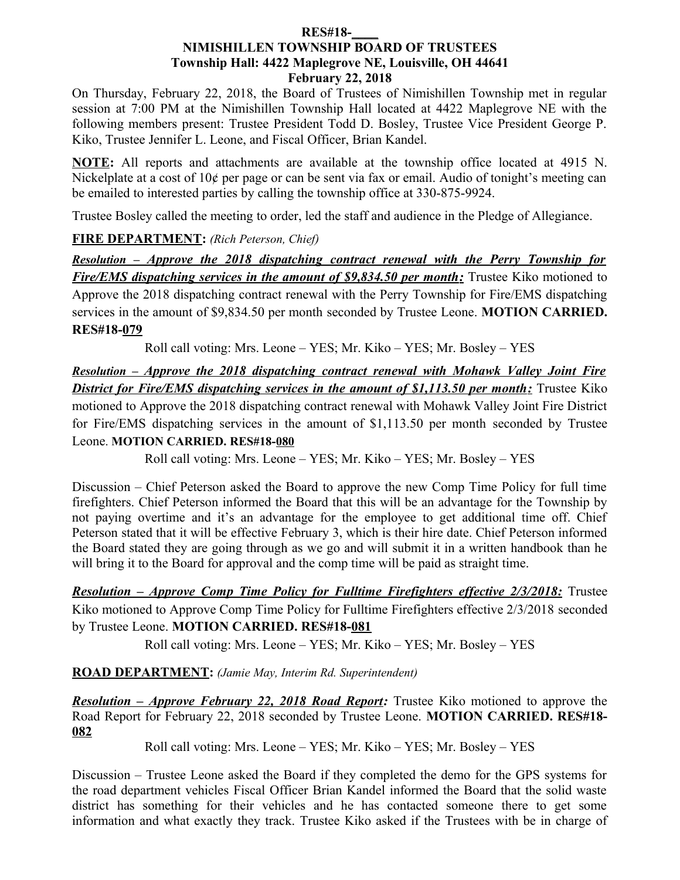#### **RES#18-\_\_\_\_ NIMISHILLEN TOWNSHIP BOARD OF TRUSTEES Township Hall: 4422 Maplegrove NE, Louisville, OH 44641 February 22, 2018**

On Thursday, February 22, 2018, the Board of Trustees of Nimishillen Township met in regular session at 7:00 PM at the Nimishillen Township Hall located at 4422 Maplegrove NE with the following members present: Trustee President Todd D. Bosley, Trustee Vice President George P. Kiko, Trustee Jennifer L. Leone, and Fiscal Officer, Brian Kandel.

**NOTE:** All reports and attachments are available at the township office located at 4915 N. Nickelplate at a cost of 10¢ per page or can be sent via fax or email. Audio of tonight's meeting can be emailed to interested parties by calling the township office at 330-875-9924.

Trustee Bosley called the meeting to order, led the staff and audience in the Pledge of Allegiance.

# **FIRE DEPARTMENT:** *(Rich Peterson, Chief)*

 *Resolution – Approve the 2018 dispatching contract renewal with the Perry Township for Fire/EMS dispatching services in the amount of \$9,834.50 per month:* Trustee Kiko motioned to Approve the 2018 dispatching contract renewal with the Perry Township for Fire/EMS dispatching services in the amount of \$9,834.50 per month seconded by Trustee Leone. **MOTION CARRIED. RES#18-079**

Roll call voting: Mrs. Leone – YES; Mr. Kiko – YES; Mr. Bosley – YES

 *Resolution – Approve the 2018 dispatching contract renewal with Mohawk Valley Joint Fire District for Fire/EMS dispatching services in the amount of \$1,113.50 per month:* Trustee Kiko motioned to Approve the 2018 dispatching contract renewal with Mohawk Valley Joint Fire District for Fire/EMS dispatching services in the amount of \$1,113.50 per month seconded by Trustee Leone. **MOTION CARRIED. RES#18-080**

Roll call voting: Mrs. Leone – YES; Mr. Kiko – YES; Mr. Bosley – YES

Discussion – Chief Peterson asked the Board to approve the new Comp Time Policy for full time firefighters. Chief Peterson informed the Board that this will be an advantage for the Township by not paying overtime and it's an advantage for the employee to get additional time off. Chief Peterson stated that it will be effective February 3, which is their hire date. Chief Peterson informed the Board stated they are going through as we go and will submit it in a written handbook than he will bring it to the Board for approval and the comp time will be paid as straight time.

 *Resolution – Approve Comp Time Policy for Fulltime Firefighters effective 2/3/2018:* Trustee Kiko motioned to Approve Comp Time Policy for Fulltime Firefighters effective 2/3/2018 seconded by Trustee Leone. **MOTION CARRIED. RES#18-081**

Roll call voting: Mrs. Leone – YES; Mr. Kiko – YES; Mr. Bosley – YES

**ROAD DEPARTMENT:** *(Jamie May, Interim Rd. Superintendent)*

*Resolution – Approve February 22, 2018 Road Report:* Trustee Kiko motioned to approve the Road Report for February 22, 2018 seconded by Trustee Leone. **MOTION CARRIED. RES#18- 082**

Roll call voting: Mrs. Leone – YES; Mr. Kiko – YES; Mr. Bosley – YES

Discussion – Trustee Leone asked the Board if they completed the demo for the GPS systems for the road department vehicles Fiscal Officer Brian Kandel informed the Board that the solid waste district has something for their vehicles and he has contacted someone there to get some information and what exactly they track. Trustee Kiko asked if the Trustees with be in charge of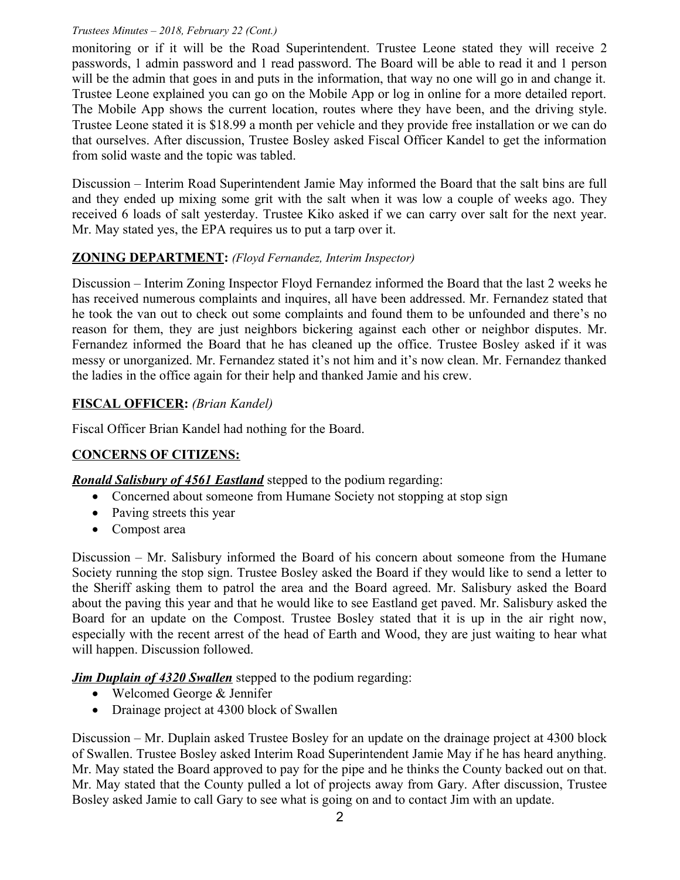#### *Trustees Minutes – 2018, February 22 (Cont.)*

monitoring or if it will be the Road Superintendent. Trustee Leone stated they will receive 2 passwords, 1 admin password and 1 read password. The Board will be able to read it and 1 person will be the admin that goes in and puts in the information, that way no one will go in and change it. Trustee Leone explained you can go on the Mobile App or log in online for a more detailed report. The Mobile App shows the current location, routes where they have been, and the driving style. Trustee Leone stated it is \$18.99 a month per vehicle and they provide free installation or we can do that ourselves. After discussion, Trustee Bosley asked Fiscal Officer Kandel to get the information from solid waste and the topic was tabled.

Discussion – Interim Road Superintendent Jamie May informed the Board that the salt bins are full and they ended up mixing some grit with the salt when it was low a couple of weeks ago. They received 6 loads of salt yesterday. Trustee Kiko asked if we can carry over salt for the next year. Mr. May stated yes, the EPA requires us to put a tarp over it.

# **ZONING DEPARTMENT:** *(Floyd Fernandez, Interim Inspector)*

Discussion – Interim Zoning Inspector Floyd Fernandez informed the Board that the last 2 weeks he has received numerous complaints and inquires, all have been addressed. Mr. Fernandez stated that he took the van out to check out some complaints and found them to be unfounded and there's no reason for them, they are just neighbors bickering against each other or neighbor disputes. Mr. Fernandez informed the Board that he has cleaned up the office. Trustee Bosley asked if it was messy or unorganized. Mr. Fernandez stated it's not him and it's now clean. Mr. Fernandez thanked the ladies in the office again for their help and thanked Jamie and his crew.

# **FISCAL OFFICER:** *(Brian Kandel)*

Fiscal Officer Brian Kandel had nothing for the Board.

# **CONCERNS OF CITIZENS:**

*Ronald Salisbury of 4561 Eastland* stepped to the podium regarding:

- Concerned about someone from Humane Society not stopping at stop sign
- Paving streets this year
- Compost area

Discussion – Mr. Salisbury informed the Board of his concern about someone from the Humane Society running the stop sign. Trustee Bosley asked the Board if they would like to send a letter to the Sheriff asking them to patrol the area and the Board agreed. Mr. Salisbury asked the Board about the paving this year and that he would like to see Eastland get paved. Mr. Salisbury asked the Board for an update on the Compost. Trustee Bosley stated that it is up in the air right now, especially with the recent arrest of the head of Earth and Wood, they are just waiting to hear what will happen. Discussion followed.

*Jim Duplain of 4320 Swallen* stepped to the podium regarding:

- Welcomed George & Jennifer
- Drainage project at 4300 block of Swallen

Discussion – Mr. Duplain asked Trustee Bosley for an update on the drainage project at 4300 block of Swallen. Trustee Bosley asked Interim Road Superintendent Jamie May if he has heard anything. Mr. May stated the Board approved to pay for the pipe and he thinks the County backed out on that. Mr. May stated that the County pulled a lot of projects away from Gary. After discussion, Trustee Bosley asked Jamie to call Gary to see what is going on and to contact Jim with an update.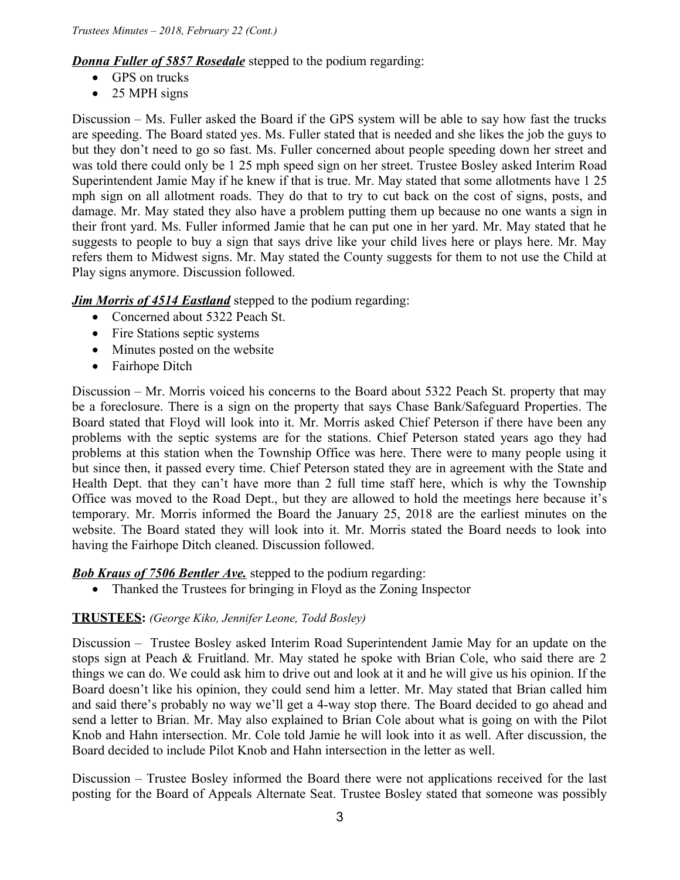*Donna Fuller of 5857 Rosedale* stepped to the podium regarding:

- GPS on trucks
- 25 MPH signs

Discussion – Ms. Fuller asked the Board if the GPS system will be able to say how fast the trucks are speeding. The Board stated yes. Ms. Fuller stated that is needed and she likes the job the guys to but they don't need to go so fast. Ms. Fuller concerned about people speeding down her street and was told there could only be 1 25 mph speed sign on her street. Trustee Bosley asked Interim Road Superintendent Jamie May if he knew if that is true. Mr. May stated that some allotments have 1 25 mph sign on all allotment roads. They do that to try to cut back on the cost of signs, posts, and damage. Mr. May stated they also have a problem putting them up because no one wants a sign in their front yard. Ms. Fuller informed Jamie that he can put one in her yard. Mr. May stated that he suggests to people to buy a sign that says drive like your child lives here or plays here. Mr. May refers them to Midwest signs. Mr. May stated the County suggests for them to not use the Child at Play signs anymore. Discussion followed.

*Jim Morris of 4514 Eastland* stepped to the podium regarding:

- Concerned about 5322 Peach St.
- Fire Stations septic systems
- Minutes posted on the website
- Fairhope Ditch

Discussion – Mr. Morris voiced his concerns to the Board about 5322 Peach St. property that may be a foreclosure. There is a sign on the property that says Chase Bank/Safeguard Properties. The Board stated that Floyd will look into it. Mr. Morris asked Chief Peterson if there have been any problems with the septic systems are for the stations. Chief Peterson stated years ago they had problems at this station when the Township Office was here. There were to many people using it but since then, it passed every time. Chief Peterson stated they are in agreement with the State and Health Dept. that they can't have more than 2 full time staff here, which is why the Township Office was moved to the Road Dept., but they are allowed to hold the meetings here because it's temporary. Mr. Morris informed the Board the January 25, 2018 are the earliest minutes on the website. The Board stated they will look into it. Mr. Morris stated the Board needs to look into having the Fairhope Ditch cleaned. Discussion followed.

**Bob Kraus of 7506 Bentler Ave.** stepped to the podium regarding:

• Thanked the Trustees for bringing in Floyd as the Zoning Inspector

#### **TRUSTEES:** *(George Kiko, Jennifer Leone, Todd Bosley)*

Discussion – Trustee Bosley asked Interim Road Superintendent Jamie May for an update on the stops sign at Peach & Fruitland. Mr. May stated he spoke with Brian Cole, who said there are 2 things we can do. We could ask him to drive out and look at it and he will give us his opinion. If the Board doesn't like his opinion, they could send him a letter. Mr. May stated that Brian called him and said there's probably no way we'll get a 4-way stop there. The Board decided to go ahead and send a letter to Brian. Mr. May also explained to Brian Cole about what is going on with the Pilot Knob and Hahn intersection. Mr. Cole told Jamie he will look into it as well. After discussion, the Board decided to include Pilot Knob and Hahn intersection in the letter as well.

Discussion – Trustee Bosley informed the Board there were not applications received for the last posting for the Board of Appeals Alternate Seat. Trustee Bosley stated that someone was possibly